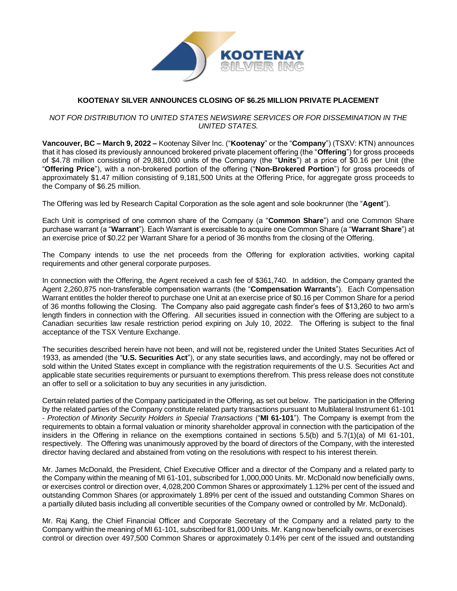

# **KOOTENAY SILVER ANNOUNCES CLOSING OF \$6.25 MILLION PRIVATE PLACEMENT**

## *NOT FOR DISTRIBUTION TO UNITED STATES NEWSWIRE SERVICES OR FOR DISSEMINATION IN THE UNITED STATES.*

**Vancouver, BC – March 9, 2022 –** Kootenay Silver Inc. ("**Kootenay**" or the "**Company**") (TSXV: KTN) announces that it has closed its previously announced brokered private placement offering (the "**Offering**") for gross proceeds of \$4.78 million consisting of 29,881,000 units of the Company (the "**Units**") at a price of \$0.16 per Unit (the "**Offering Price**"), with a non-brokered portion of the offering ("**Non-Brokered Portion**") for gross proceeds of approximately \$1.47 million consisting of 9,181,500 Units at the Offering Price, for aggregate gross proceeds to the Company of \$6.25 million.

The Offering was led by Research Capital Corporation as the sole agent and sole bookrunner (the "**Agent**").

Each Unit is comprised of one common share of the Company (a "**Common Share**") and one Common Share purchase warrant (a "**Warrant**"). Each Warrant is exercisable to acquire one Common Share (a "**Warrant Share**") at an exercise price of \$0.22 per Warrant Share for a period of 36 months from the closing of the Offering.

The Company intends to use the net proceeds from the Offering for exploration activities, working capital requirements and other general corporate purposes.

In connection with the Offering, the Agent received a cash fee of \$361,740. In addition, the Company granted the Agent 2,260,875 non-transferable compensation warrants (the "**Compensation Warrants**"). Each Compensation Warrant entitles the holder thereof to purchase one Unit at an exercise price of \$0.16 per Common Share for a period of 36 months following the Closing. The Company also paid aggregate cash finder's fees of \$13,260 to two arm's length finders in connection with the Offering. All securities issued in connection with the Offering are subject to a Canadian securities law resale restriction period expiring on July 10, 2022. The Offering is subject to the final acceptance of the TSX Venture Exchange.

The securities described herein have not been, and will not be, registered under the United States Securities Act of 1933, as amended (the "**U.S. Securities Act**"), or any state securities laws, and accordingly, may not be offered or sold within the United States except in compliance with the registration requirements of the U.S. Securities Act and applicable state securities requirements or pursuant to exemptions therefrom. This press release does not constitute an offer to sell or a solicitation to buy any securities in any jurisdiction.

Certain related parties of the Company participated in the Offering, as set out below. The participation in the Offering by the related parties of the Company constitute related party transactions pursuant to Multilateral Instrument 61-101 - *Protection of Minority Security Holders in Special Transactions* ("**MI 61-101**"). The Company is exempt from the requirements to obtain a formal valuation or minority shareholder approval in connection with the participation of the insiders in the Offering in reliance on the exemptions contained in sections 5.5(b) and 5.7(1)(a) of MI 61-101, respectively. The Offering was unanimously approved by the board of directors of the Company, with the interested director having declared and abstained from voting on the resolutions with respect to his interest therein.

Mr. James McDonald, the President, Chief Executive Officer and a director of the Company and a related party to the Company within the meaning of MI 61-101, subscribed for 1,000,000 Units. Mr. McDonald now beneficially owns, or exercises control or direction over, 4,028,200 Common Shares or approximately 1.12% per cent of the issued and outstanding Common Shares (or approximately 1.89% per cent of the issued and outstanding Common Shares on a partially diluted basis including all convertible securities of the Company owned or controlled by Mr. McDonald).

Mr. Raj Kang, the Chief Financial Officer and Corporate Secretary of the Company and a related party to the Company within the meaning of MI 61-101, subscribed for 81,000 Units. Mr. Kang now beneficially owns, or exercises control or direction over 497,500 Common Shares or approximately 0.14% per cent of the issued and outstanding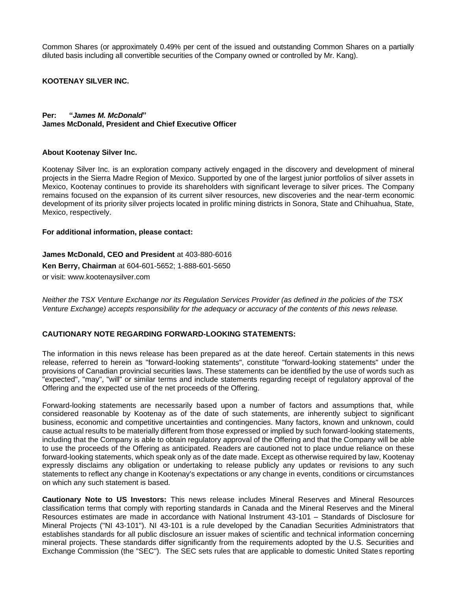Common Shares (or approximately 0.49% per cent of the issued and outstanding Common Shares on a partially diluted basis including all convertible securities of the Company owned or controlled by Mr. Kang).

#### **KOOTENAY SILVER INC.**

#### **Per: "***James M. McDonald***" James McDonald, President and Chief Executive Officer**

#### **About Kootenay Silver Inc.**

Kootenay Silver Inc. is an exploration company actively engaged in the discovery and development of mineral projects in the Sierra Madre Region of Mexico. Supported by one of the largest junior portfolios of silver assets in Mexico, Kootenay continues to provide its shareholders with significant leverage to silver prices. The Company remains focused on the expansion of its current silver resources, new discoveries and the near-term economic development of its priority silver projects located in prolific mining districts in Sonora, State and Chihuahua, State, Mexico, respectively.

#### **For additional information, please contact:**

**James McDonald, CEO and President** at 403-880-6016 **Ken Berry, Chairman** at 604-601-5652; 1-888-601-5650 or visit: [www.kootenaysilver.com](http://www.kootenaysilver.com/)

*Neither the TSX Venture Exchange nor its Regulation Services Provider (as defined in the policies of the TSX Venture Exchange) accepts responsibility for the adequacy or accuracy of the contents of this news release.*

## **CAUTIONARY NOTE REGARDING FORWARD-LOOKING STATEMENTS:**

The information in this news release has been prepared as at the date hereof. Certain statements in this news release, referred to herein as "forward-looking statements", constitute "forward-looking statements" under the provisions of Canadian provincial securities laws. These statements can be identified by the use of words such as "expected", "may", "will" or similar terms and include statements regarding receipt of regulatory approval of the Offering and the expected use of the net proceeds of the Offering.

Forward-looking statements are necessarily based upon a number of factors and assumptions that, while considered reasonable by Kootenay as of the date of such statements, are inherently subject to significant business, economic and competitive uncertainties and contingencies. Many factors, known and unknown, could cause actual results to be materially different from those expressed or implied by such forward-looking statements, including that the Company is able to obtain regulatory approval of the Offering and that the Company will be able to use the proceeds of the Offering as anticipated. Readers are cautioned not to place undue reliance on these forward-looking statements, which speak only as of the date made. Except as otherwise required by law, Kootenay expressly disclaims any obligation or undertaking to release publicly any updates or revisions to any such statements to reflect any change in Kootenay's expectations or any change in events, conditions or circumstances on which any such statement is based.

**Cautionary Note to US Investors:** This news release includes Mineral Reserves and Mineral Resources classification terms that comply with reporting standards in Canada and the Mineral Reserves and the Mineral Resources estimates are made in accordance with National Instrument 43-101 – Standards of Disclosure for Mineral Projects ("NI 43-101"). NI 43-101 is a rule developed by the Canadian Securities Administrators that establishes standards for all public disclosure an issuer makes of scientific and technical information concerning mineral projects. These standards differ significantly from the requirements adopted by the U.S. Securities and Exchange Commission (the "SEC"). The SEC sets rules that are applicable to domestic United States reporting